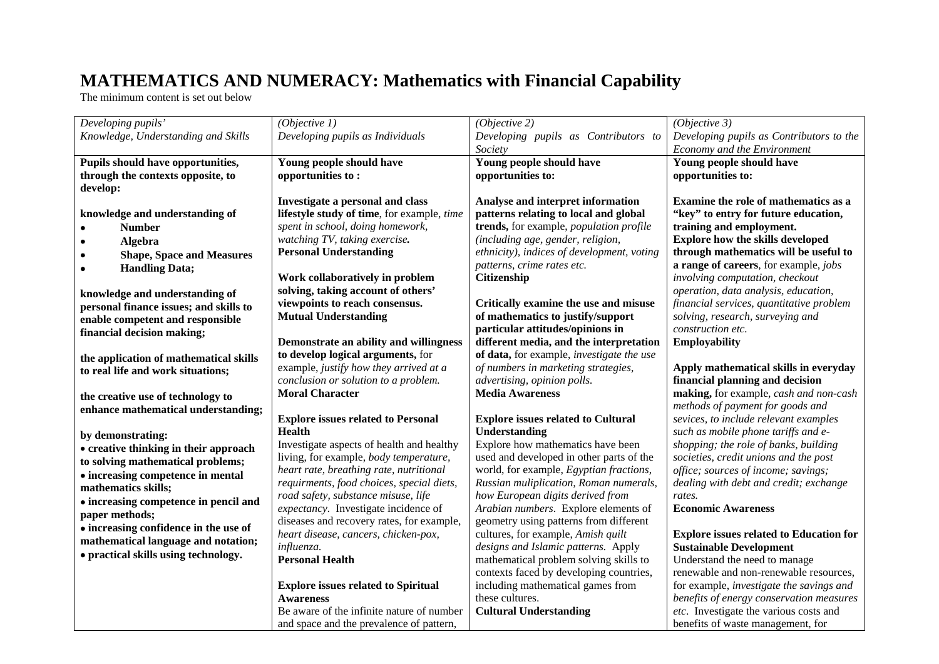## **MATHEMATICS AND NUMERACY: Mathematics with Financial Capability**

The minimum content is set out below

| Developing pupils'                     | (Objective 1)                              | (Objective 2)                                  | (Objective 3)                                  |
|----------------------------------------|--------------------------------------------|------------------------------------------------|------------------------------------------------|
| Knowledge, Understanding and Skills    | Developing pupils as Individuals           | Developing pupils as Contributors to           | Developing pupils as Contributors to the       |
|                                        |                                            | Society                                        | Economy and the Environment                    |
| Pupils should have opportunities,      | Young people should have                   | Young people should have                       | Young people should have                       |
| through the contexts opposite, to      | opportunities to:                          | opportunities to:                              | opportunities to:                              |
| develop:                               |                                            |                                                |                                                |
|                                        | Investigate a personal and class           | Analyse and interpret information              | Examine the role of mathematics as a           |
| knowledge and understanding of         | lifestyle study of time, for example, time | patterns relating to local and global          | "key" to entry for future education,           |
| <b>Number</b>                          | spent in school, doing homework,           | trends, for example, <i>population profile</i> | training and employment.                       |
| Algebra                                | watching TV, taking exercise.              | (including age, gender, religion,              | <b>Explore how the skills developed</b>        |
| <b>Shape, Space and Measures</b>       | <b>Personal Understanding</b>              | ethnicity), indices of development, voting     | through mathematics will be useful to          |
| <b>Handling Data;</b>                  |                                            | patterns, crime rates etc.                     | a range of careers, for example, jobs          |
|                                        | Work collaboratively in problem            | Citizenship                                    | involving computation, checkout                |
| knowledge and understanding of         | solving, taking account of others'         |                                                | operation, data analysis, education,           |
| personal finance issues; and skills to | viewpoints to reach consensus.             | Critically examine the use and misuse          | financial services, quantitative problem       |
| enable competent and responsible       | <b>Mutual Understanding</b>                | of mathematics to justify/support              | solving, research, surveying and               |
| financial decision making;             |                                            | particular attitudes/opinions in               | construction etc.                              |
|                                        | Demonstrate an ability and willingness     | different media, and the interpretation        | <b>Employability</b>                           |
| the application of mathematical skills | to develop logical arguments, for          | of data, for example, investigate the use      |                                                |
| to real life and work situations;      | example, justify how they arrived at a     | of numbers in marketing strategies,            | Apply mathematical skills in everyday          |
|                                        | conclusion or solution to a problem.       | advertising, opinion polls.                    | financial planning and decision                |
| the creative use of technology to      | <b>Moral Character</b>                     | <b>Media Awareness</b>                         | making, for example, cash and non-cash         |
| enhance mathematical understanding;    |                                            |                                                | methods of payment for goods and               |
|                                        | <b>Explore issues related to Personal</b>  | <b>Explore issues related to Cultural</b>      | sevices, to include relevant examples          |
| by demonstrating:                      | <b>Health</b>                              | Understanding                                  | such as mobile phone tariffs and e-            |
| • creative thinking in their approach  | Investigate aspects of health and healthy  | Explore how mathematics have been              | shopping; the role of banks, building          |
| to solving mathematical problems;      | living, for example, body temperature,     | used and developed in other parts of the       | societies, credit unions and the post          |
| • increasing competence in mental      | heart rate, breathing rate, nutritional    | world, for example, Egyptian fractions,        | office; sources of income; savings;            |
| mathematics skills;                    | requirments, food choices, special diets,  | Russian muliplication, Roman numerals,         | dealing with debt and credit; exchange         |
| • increasing competence in pencil and  | road safety, substance misuse, life        | how European digits derived from               | rates.                                         |
| paper methods;                         | expectancy. Investigate incidence of       | Arabian numbers. Explore elements of           | <b>Economic Awareness</b>                      |
| • increasing confidence in the use of  | diseases and recovery rates, for example,  | geometry using patterns from different         |                                                |
| mathematical language and notation;    | heart disease, cancers, chicken-pox,       | cultures, for example, Amish quilt             | <b>Explore issues related to Education for</b> |
| • practical skills using technology.   | influenza.                                 | designs and Islamic patterns. Apply            | <b>Sustainable Development</b>                 |
|                                        | <b>Personal Health</b>                     | mathematical problem solving skills to         | Understand the need to manage                  |
|                                        |                                            | contexts faced by developing countries,        | renewable and non-renewable resources,         |
|                                        | <b>Explore issues related to Spiritual</b> | including mathematical games from              | for example, investigate the savings and       |
|                                        | <b>Awareness</b>                           | these cultures.                                | benefits of energy conservation measures       |
|                                        | Be aware of the infinite nature of number  | <b>Cultural Understanding</b>                  | etc. Investigate the various costs and         |
|                                        | and space and the prevalence of pattern,   |                                                | benefits of waste management, for              |